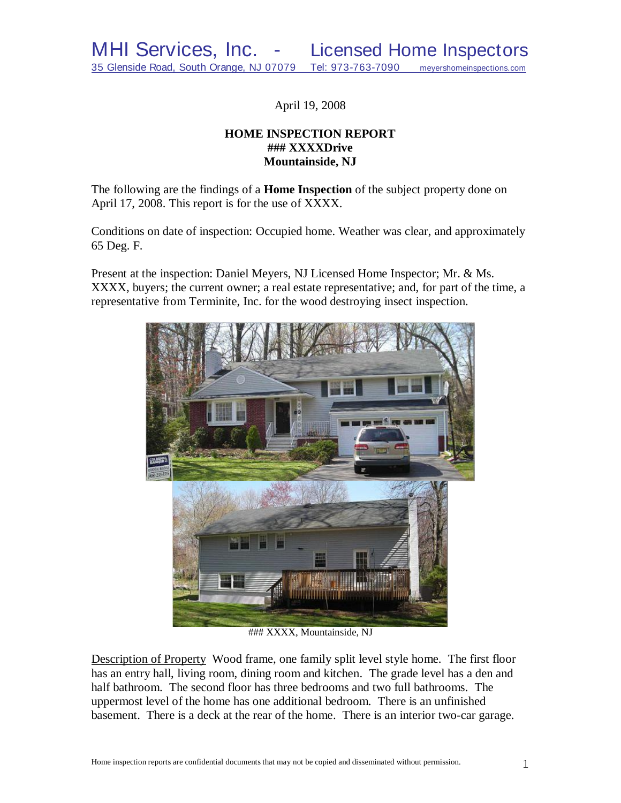April 19, 2008

# **HOME INSPECTION REPORT ### XXXXDrive Mountainside, NJ**

The following are the findings of a **Home Inspection** of the subject property done on April 17, 2008. This report is for the use of XXXX.

Conditions on date of inspection: Occupied home. Weather was clear, and approximately 65 Deg. F.

Present at the inspection: Daniel Meyers, NJ Licensed Home Inspector; Mr. & Ms. XXXX, buyers; the current owner; a real estate representative; and, for part of the time, a representative from Terminite, Inc. for the wood destroying insect inspection.



### XXXX, Mountainside, NJ

Description of Property Wood frame, one family split level style home. The first floor has an entry hall, living room, dining room and kitchen. The grade level has a den and half bathroom. The second floor has three bedrooms and two full bathrooms. The uppermost level of the home has one additional bedroom. There is an unfinished basement. There is a deck at the rear of the home. There is an interior two-car garage.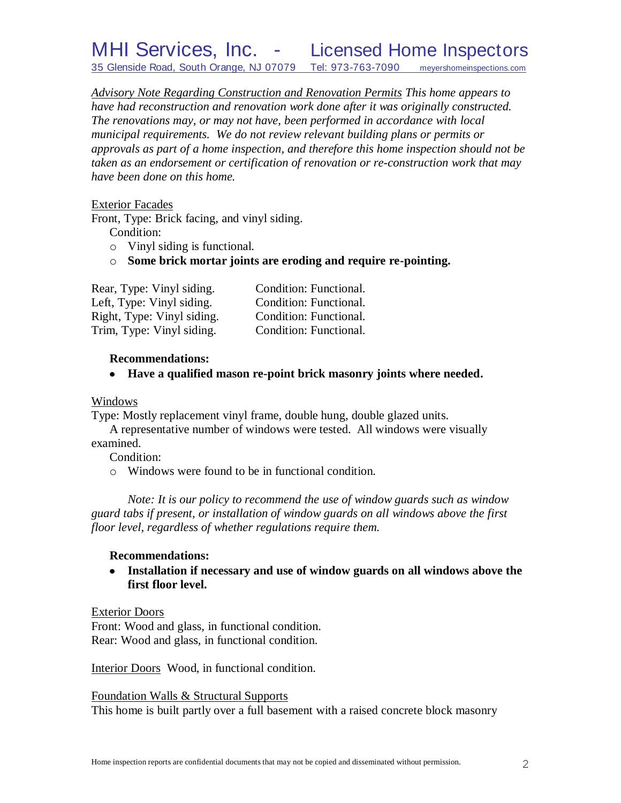*Advisory Note Regarding Construction and Renovation Permits This home appears to have had reconstruction and renovation work done after it was originally constructed. The renovations may, or may not have, been performed in accordance with local municipal requirements. We do not review relevant building plans or permits or approvals as part of a home inspection, and therefore this home inspection should not be taken as an endorsement or certification of renovation or re-construction work that may have been done on this home.*

Exterior Facades

Front, Type: Brick facing, and vinyl siding.

Condition:

- o Vinyl siding is functional.
- o **Some brick mortar joints are eroding and require re-pointing.**

| Rear, Type: Vinyl siding.  | Condition: Functional. |
|----------------------------|------------------------|
| Left, Type: Vinyl siding.  | Condition: Functional. |
| Right, Type: Vinyl siding. | Condition: Functional. |
| Trim, Type: Vinyl siding.  | Condition: Functional. |

# **Recommendations:**

**Have a qualified mason re-point brick masonry joints where needed.**

# Windows

Type: Mostly replacement vinyl frame, double hung, double glazed units.

A representative number of windows were tested. All windows were visually examined.

Condition:

o Windows were found to be in functional condition.

*Note: It is our policy to recommend the use of window guards such as window guard tabs if present, or installation of window guards on all windows above the first floor level, regardless of whether regulations require them.*

# **Recommendations:**

**Installation if necessary and use of window guards on all windows above the first floor level.**

# Exterior Doors

Front: Wood and glass, in functional condition. Rear: Wood and glass, in functional condition.

Interior Doors Wood, in functional condition.

Foundation Walls & Structural Supports This home is built partly over a full basement with a raised concrete block masonry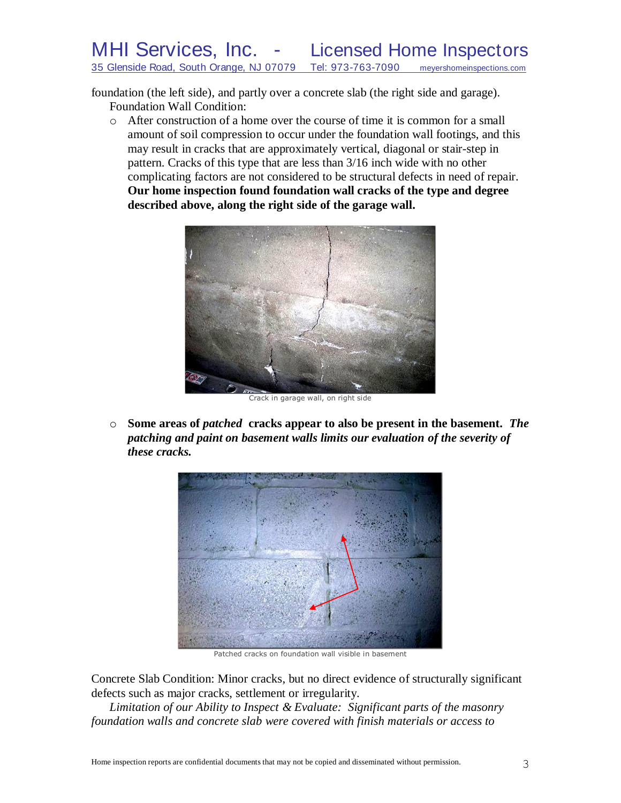foundation (the left side), and partly over a concrete slab (the right side and garage). Foundation Wall Condition:

o After construction of a home over the course of time it is common for a small amount of soil compression to occur under the foundation wall footings, and this may result in cracks that are approximately vertical, diagonal or stair-step in pattern. Cracks of this type that are less than 3/16 inch wide with no other complicating factors are not considered to be structural defects in need of repair. **Our home inspection found foundation wall cracks of the type and degree described above, along the right side of the garage wall.**



Crack in garage wall, on right side

o **Some areas of** *patched* **cracks appear to also be present in the basement.** *The patching and paint on basement walls limits our evaluation of the severity of these cracks.*



Patched cracks on foundation wall visible in basement

Concrete Slab Condition: Minor cracks, but no direct evidence of structurally significant defects such as major cracks, settlement or irregularity.

*Limitation of our Ability to Inspect & Evaluate: Significant parts of the masonry foundation walls and concrete slab were covered with finish materials or access to*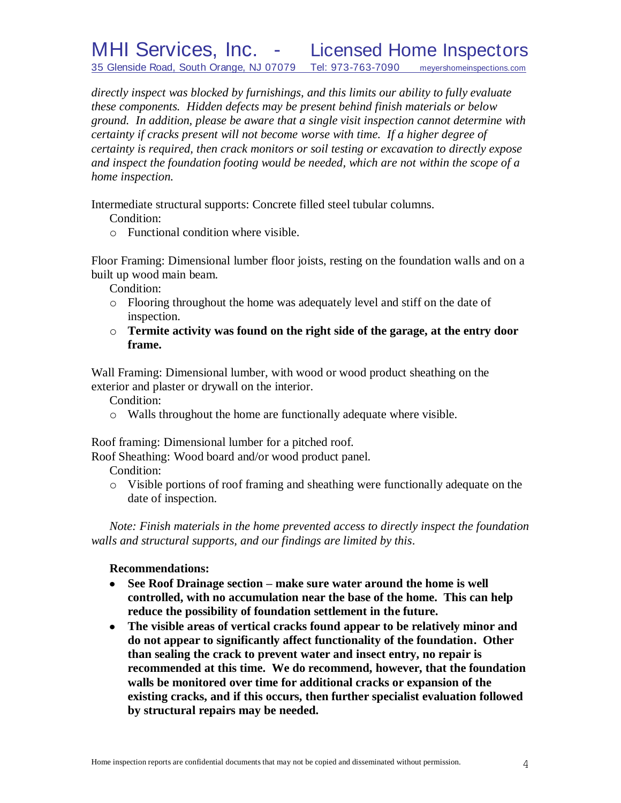*directly inspect was blocked by furnishings, and this limits our ability to fully evaluate these components. Hidden defects may be present behind finish materials or below ground. In addition, please be aware that a single visit inspection cannot determine with certainty if cracks present will not become worse with time. If a higher degree of certainty is required, then crack monitors or soil testing or excavation to directly expose and inspect the foundation footing would be needed, which are not within the scope of a home inspection.*

Intermediate structural supports: Concrete filled steel tubular columns.

Condition:

o Functional condition where visible.

Floor Framing: Dimensional lumber floor joists, resting on the foundation walls and on a built up wood main beam.

Condition:

- o Flooring throughout the home was adequately level and stiff on the date of inspection.
- o **Termite activity was found on the right side of the garage, at the entry door frame.**

Wall Framing: Dimensional lumber, with wood or wood product sheathing on the exterior and plaster or drywall on the interior.

Condition:

o Walls throughout the home are functionally adequate where visible.

Roof framing: Dimensional lumber for a pitched roof.

Roof Sheathing: Wood board and/or wood product panel.

Condition:

o Visible portions of roof framing and sheathing were functionally adequate on the date of inspection.

*Note: Finish materials in the home prevented access to directly inspect the foundation walls and structural supports, and our findings are limited by this*.

# **Recommendations:**

- **See Roof Drainage section – make sure water around the home is well**   $\bullet$ **controlled, with no accumulation near the base of the home. This can help reduce the possibility of foundation settlement in the future.**
- **The visible areas of vertical cracks found appear to be relatively minor and do not appear to significantly affect functionality of the foundation. Other than sealing the crack to prevent water and insect entry, no repair is recommended at this time. We do recommend, however, that the foundation walls be monitored over time for additional cracks or expansion of the existing cracks, and if this occurs, then further specialist evaluation followed by structural repairs may be needed.**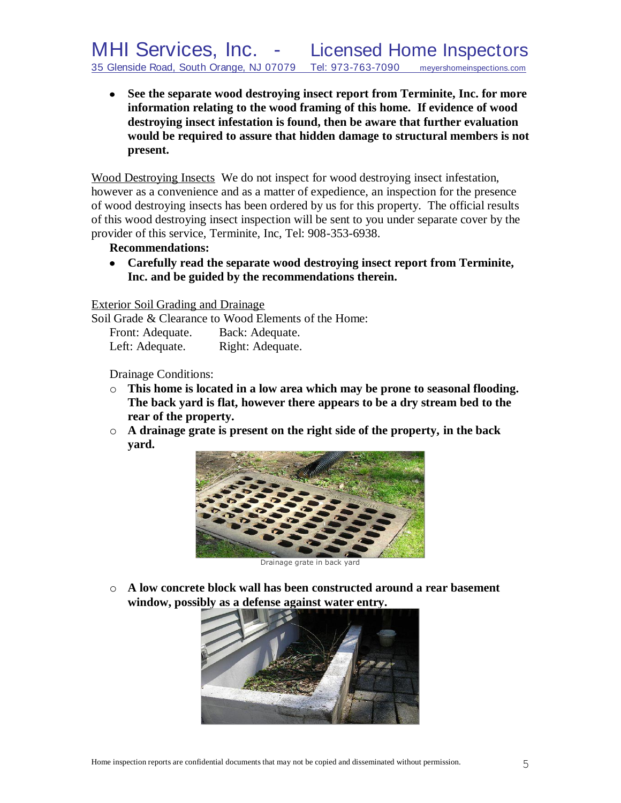**See the separate wood destroying insect report from Terminite, Inc. for more information relating to the wood framing of this home. If evidence of wood destroying insect infestation is found, then be aware that further evaluation would be required to assure that hidden damage to structural members is not present.**

Wood Destroying Insects We do not inspect for wood destroying insect infestation, however as a convenience and as a matter of expedience, an inspection for the presence of wood destroying insects has been ordered by us for this property. The official results of this wood destroying insect inspection will be sent to you under separate cover by the provider of this service, Terminite, Inc, Tel: 908-353-6938.

# **Recommendations:**

**Carefully read the separate wood destroying insect report from Terminite, Inc. and be guided by the recommendations therein.**

Exterior Soil Grading and Drainage

Soil Grade & Clearance to Wood Elements of the Home:

| Front: Adequate. | Back: Adequate.  |
|------------------|------------------|
| Left: Adequate.  | Right: Adequate. |

Drainage Conditions:

- o **This home is located in a low area which may be prone to seasonal flooding. The back yard is flat, however there appears to be a dry stream bed to the rear of the property.**
- o **A drainage grate is present on the right side of the property, in the back yard.**



Drainage grate in back yard

o **A low concrete block wall has been constructed around a rear basement window, possibly as a defense against water entry.**

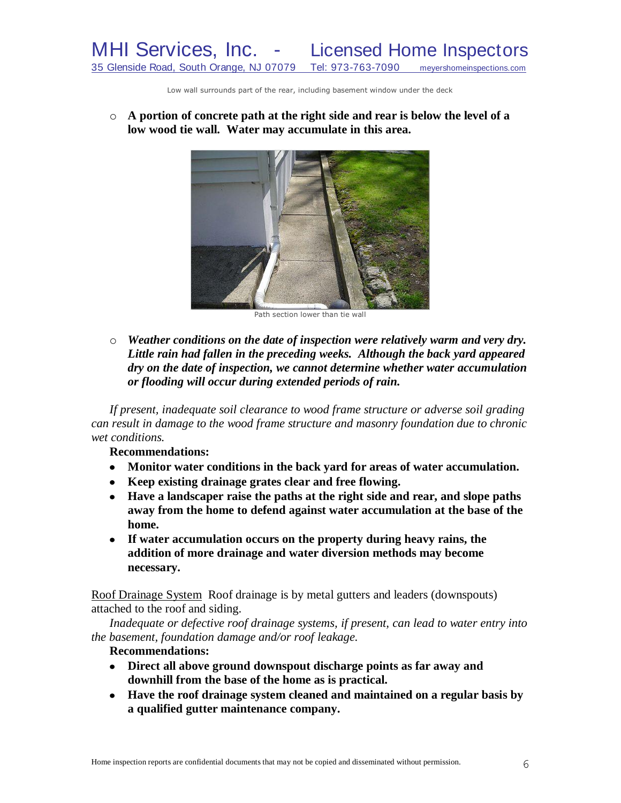Low wall surrounds part of the rear, including basement window under the deck

o **A portion of concrete path at the right side and rear is below the level of a low wood tie wall. Water may accumulate in this area.**



Path section lower than tie wall

o *Weather conditions on the date of inspection were relatively warm and very dry. Little rain had fallen in the preceding weeks. Although the back yard appeared dry on the date of inspection, we cannot determine whether water accumulation or flooding will occur during extended periods of rain.*

*If present, inadequate soil clearance to wood frame structure or adverse soil grading can result in damage to the wood frame structure and masonry foundation due to chronic wet conditions.*

**Recommendations:**

- **Monitor water conditions in the back yard for areas of water accumulation.**
- **Keep existing drainage grates clear and free flowing.**
- **Have a landscaper raise the paths at the right side and rear, and slope paths away from the home to defend against water accumulation at the base of the home.**
- **If water accumulation occurs on the property during heavy rains, the addition of more drainage and water diversion methods may become necessary.**

Roof Drainage System Roof drainage is by metal gutters and leaders (downspouts) attached to the roof and siding.

*Inadequate or defective roof drainage systems, if present, can lead to water entry into the basement, foundation damage and/or roof leakage.*

**Recommendations:**

- **Direct all above ground downspout discharge points as far away and downhill from the base of the home as is practical.**
- **Have the roof drainage system cleaned and maintained on a regular basis by a qualified gutter maintenance company.**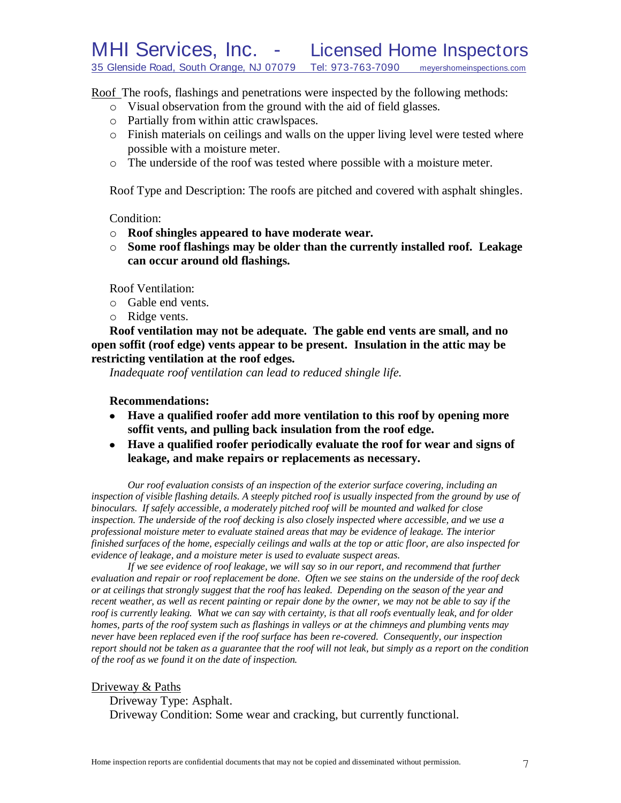Roof The roofs, flashings and penetrations were inspected by the following methods:

- o Visual observation from the ground with the aid of field glasses.
- o Partially from within attic crawlspaces.
- o Finish materials on ceilings and walls on the upper living level were tested where possible with a moisture meter.
- o The underside of the roof was tested where possible with a moisture meter.

Roof Type and Description: The roofs are pitched and covered with asphalt shingles.

Condition:

- o **Roof shingles appeared to have moderate wear.**
- o **Some roof flashings may be older than the currently installed roof. Leakage can occur around old flashings.**

Roof Ventilation:

- o Gable end vents.
- o Ridge vents.

**Roof ventilation may not be adequate. The gable end vents are small, and no open soffit (roof edge) vents appear to be present. Insulation in the attic may be restricting ventilation at the roof edges.**

*Inadequate roof ventilation can lead to reduced shingle life.*

**Recommendations:**

- **Have a qualified roofer add more ventilation to this roof by opening more soffit vents, and pulling back insulation from the roof edge.**
- **Have a qualified roofer periodically evaluate the roof for wear and signs of leakage, and make repairs or replacements as necessary.**

*Our roof evaluation consists of an inspection of the exterior surface covering, including an inspection of visible flashing details. A steeply pitched roof is usually inspected from the ground by use of binoculars. If safely accessible, a moderately pitched roof will be mounted and walked for close inspection. The underside of the roof decking is also closely inspected where accessible, and we use a professional moisture meter to evaluate stained areas that may be evidence of leakage. The interior finished surfaces of the home, especially ceilings and walls at the top or attic floor, are also inspected for evidence of leakage, and a moisture meter is used to evaluate suspect areas.*

*If we see evidence of roof leakage, we will say so in our report, and recommend that further evaluation and repair or roof replacement be done. Often we see stains on the underside of the roof deck or at ceilings that strongly suggest that the roof has leaked. Depending on the season of the year and recent weather, as well as recent painting or repair done by the owner, we may not be able to say if the roof is currently leaking. What we can say with certainty, is that all roofs eventually leak, and for older homes, parts of the roof system such as flashings in valleys or at the chimneys and plumbing vents may never have been replaced even if the roof surface has been re-covered. Consequently, our inspection report should not be taken as a guarantee that the roof will not leak, but simply as a report on the condition of the roof as we found it on the date of inspection.*

#### Driveway & Paths

Driveway Type: Asphalt. Driveway Condition: Some wear and cracking, but currently functional.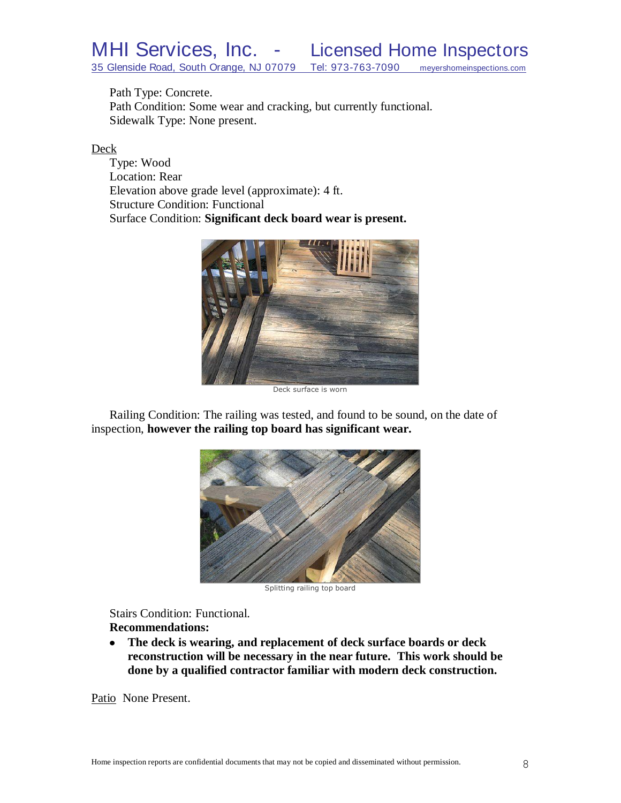Path Type: Concrete.

Path Condition: Some wear and cracking, but currently functional. Sidewalk Type: None present.

# Deck

Type: Wood Location: Rear Elevation above grade level (approximate): 4 ft. Structure Condition: Functional Surface Condition: **Significant deck board wear is present.**



Deck surface is worn

Railing Condition: The railing was tested, and found to be sound, on the date of inspection, **however the railing top board has significant wear.**



Splitting railing top board

Stairs Condition: Functional. **Recommendations:**

**The deck is wearing, and replacement of deck surface boards or deck**   $\bullet$ **reconstruction will be necessary in the near future. This work should be done by a qualified contractor familiar with modern deck construction.**

Patio None Present.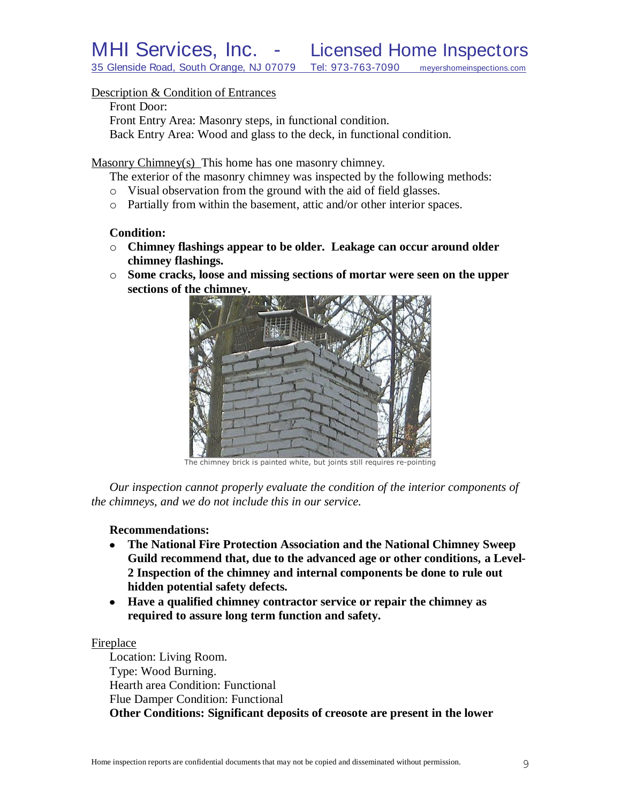### Description & Condition of Entrances

#### Front Door:

Front Entry Area: Masonry steps, in functional condition. Back Entry Area: Wood and glass to the deck, in functional condition.

Masonry Chimney(s) This home has one masonry chimney.

The exterior of the masonry chimney was inspected by the following methods:

- o Visual observation from the ground with the aid of field glasses.
- o Partially from within the basement, attic and/or other interior spaces.

#### **Condition:**

- o **Chimney flashings appear to be older. Leakage can occur around older chimney flashings.**
- o **Some cracks, loose and missing sections of mortar were seen on the upper sections of the chimney.**



The chimney brick is painted white, but joints still requires re-pointing

*Our inspection cannot properly evaluate the condition of the interior components of the chimneys, and we do not include this in our service.*

# **Recommendations:**

- **The National Fire Protection Association and the National Chimney Sweep**   $\bullet$ **Guild recommend that, due to the advanced age or other conditions, a Level-2 Inspection of the chimney and internal components be done to rule out hidden potential safety defects***.*
- **Have a qualified chimney contractor service or repair the chimney as required to assure long term function and safety.**

#### Fireplace

Location: Living Room. Type: Wood Burning. Hearth area Condition: Functional Flue Damper Condition: Functional **Other Conditions: Significant deposits of creosote are present in the lower**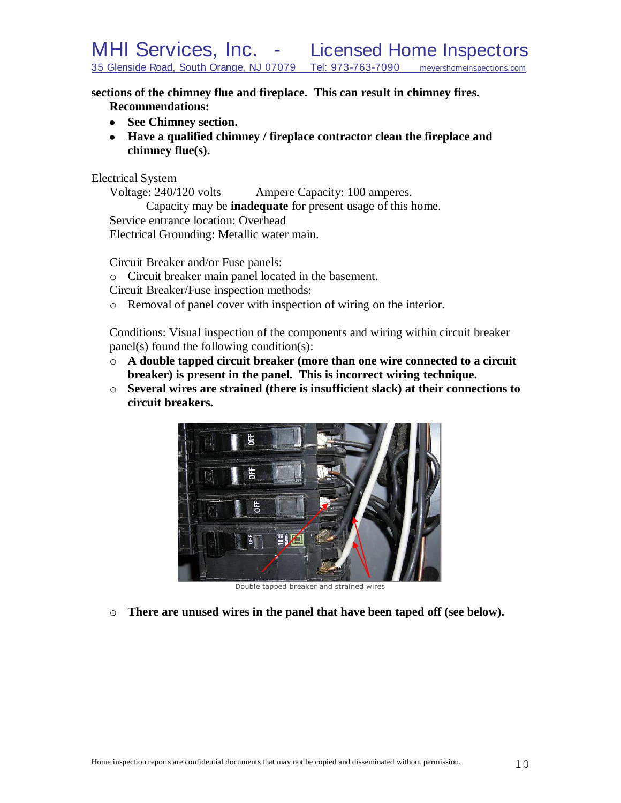**sections of the chimney flue and fireplace. This can result in chimney fires. Recommendations:**

- **See Chimney section.**
- **Have a qualified chimney / fireplace contractor clean the fireplace and chimney flue(s).**

# Electrical System

Voltage: 240/120 volts Ampere Capacity: 100 amperes.

Capacity may be **inadequate** for present usage of this home. Service entrance location: Overhead Electrical Grounding: Metallic water main.

Circuit Breaker and/or Fuse panels:

o Circuit breaker main panel located in the basement.

Circuit Breaker/Fuse inspection methods:

o Removal of panel cover with inspection of wiring on the interior.

Conditions: Visual inspection of the components and wiring within circuit breaker panel(s) found the following condition(s):

- o **A double tapped circuit breaker (more than one wire connected to a circuit breaker) is present in the panel. This is incorrect wiring technique.**
- o **Several wires are strained (there is insufficient slack) at their connections to circuit breakers.**



Double tapped breaker and strained wires

o **There are unused wires in the panel that have been taped off (see below).**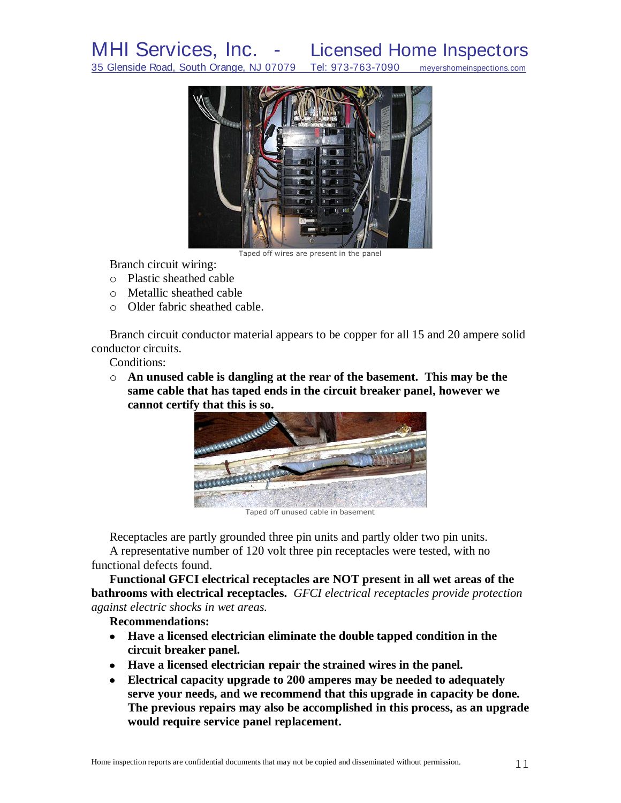35 Glenside Road, South Orange, NJ 07079 Tel: 973-763-7090 meyershomeinspections.com



Taped off wires are present in the panel

Branch circuit wiring:

- o Plastic sheathed cable
- o Metallic sheathed cable
- o Older fabric sheathed cable.

Branch circuit conductor material appears to be copper for all 15 and 20 ampere solid conductor circuits.

Conditions:

o **An unused cable is dangling at the rear of the basement. This may be the same cable that has taped ends in the circuit breaker panel, however we cannot certify that this is so.**



Taped off unused cable in basement

Receptacles are partly grounded three pin units and partly older two pin units. A representative number of 120 volt three pin receptacles were tested, with no functional defects found.

**Functional GFCI electrical receptacles are NOT present in all wet areas of the bathrooms with electrical receptacles.** *GFCI electrical receptacles provide protection against electric shocks in wet areas.*

**Recommendations:**

- **Have a licensed electrician eliminate the double tapped condition in the circuit breaker panel.**
- **Have a licensed electrician repair the strained wires in the panel.**
- **Electrical capacity upgrade to 200 amperes may be needed to adequately serve your needs, and we recommend that this upgrade in capacity be done. The previous repairs may also be accomplished in this process, as an upgrade would require service panel replacement.**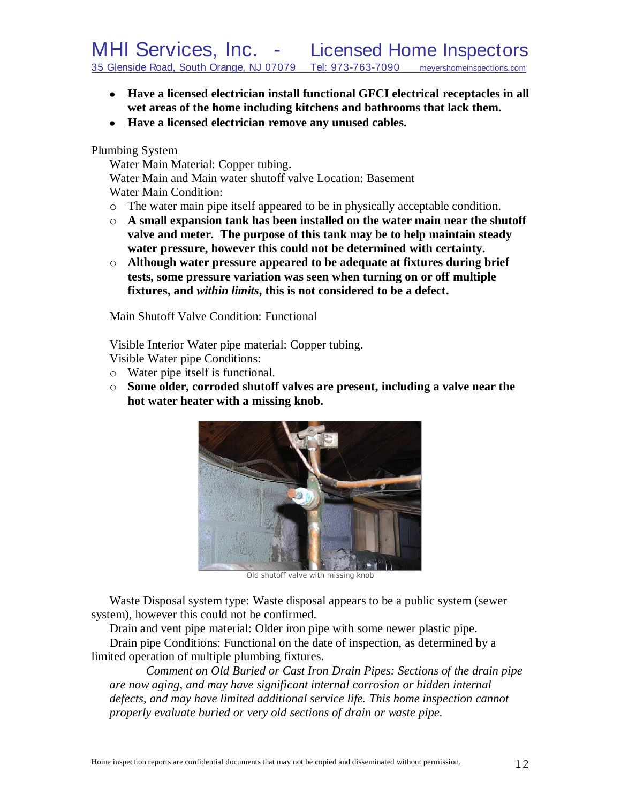- **Have a licensed electrician install functional GFCI electrical receptacles in all wet areas of the home including kitchens and bathrooms that lack them.**
- **Have a licensed electrician remove any unused cables.**

#### Plumbing System

Water Main Material: Copper tubing. Water Main and Main water shutoff valve Location: Basement Water Main Condition:

- o The water main pipe itself appeared to be in physically acceptable condition.
- o **A small expansion tank has been installed on the water main near the shutoff valve and meter. The purpose of this tank may be to help maintain steady water pressure, however this could not be determined with certainty.**
- o **Although water pressure appeared to be adequate at fixtures during brief tests, some pressure variation was seen when turning on or off multiple fixtures, and** *within limits***, this is not considered to be a defect.**

Main Shutoff Valve Condition: Functional

Visible Interior Water pipe material: Copper tubing.

Visible Water pipe Conditions:

- o Water pipe itself is functional.
- o **Some older, corroded shutoff valves are present, including a valve near the hot water heater with a missing knob.**



Old shutoff valve with missing knob

Waste Disposal system type: Waste disposal appears to be a public system (sewer system), however this could not be confirmed.

Drain and vent pipe material: Older iron pipe with some newer plastic pipe. Drain pipe Conditions: Functional on the date of inspection, as determined by a limited operation of multiple plumbing fixtures.

*Comment on Old Buried or Cast Iron Drain Pipes: Sections of the drain pipe are now aging, and may have significant internal corrosion or hidden internal defects, and may have limited additional service life. This home inspection cannot properly evaluate buried or very old sections of drain or waste pipe.*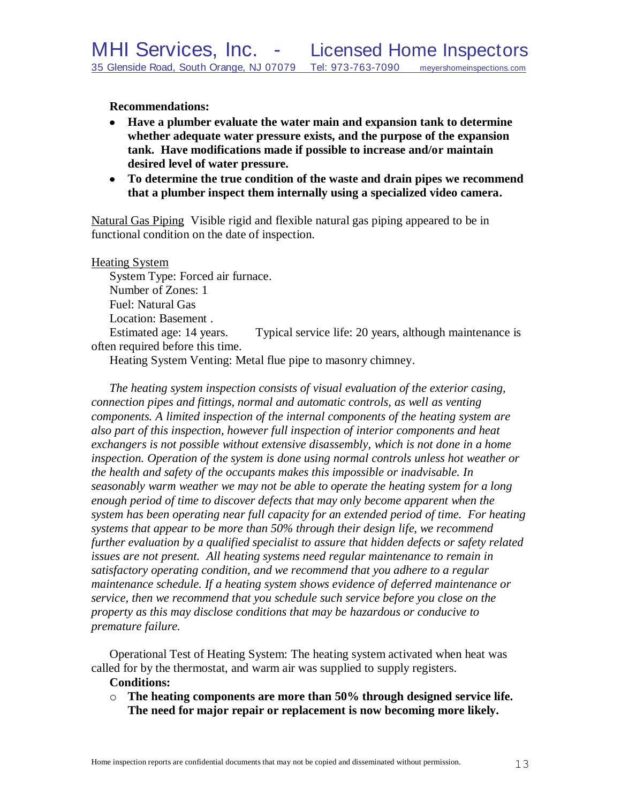**Recommendations:**

- **Have a plumber evaluate the water main and expansion tank to determine whether adequate water pressure exists, and the purpose of the expansion tank. Have modifications made if possible to increase and/or maintain desired level of water pressure.**
- **To determine the true condition of the waste and drain pipes we recommend that a plumber inspect them internally using a specialized video camera.**

Natural Gas Piping Visible rigid and flexible natural gas piping appeared to be in functional condition on the date of inspection.

Heating System

System Type: Forced air furnace. Number of Zones: 1 Fuel: Natural Gas Location: Basement . Estimated age: 14 years. Typical service life: 20 years, although maintenance is often required before this time.

Heating System Venting: Metal flue pipe to masonry chimney.

*The heating system inspection consists of visual evaluation of the exterior casing, connection pipes and fittings, normal and automatic controls, as well as venting components. A limited inspection of the internal components of the heating system are also part of this inspection, however full inspection of interior components and heat exchangers is not possible without extensive disassembly, which is not done in a home inspection. Operation of the system is done using normal controls unless hot weather or the health and safety of the occupants makes this impossible or inadvisable. In seasonably warm weather we may not be able to operate the heating system for a long enough period of time to discover defects that may only become apparent when the system has been operating near full capacity for an extended period of time. For heating systems that appear to be more than 50% through their design life, we recommend further evaluation by a qualified specialist to assure that hidden defects or safety related issues are not present. All heating systems need regular maintenance to remain in satisfactory operating condition, and we recommend that you adhere to a regular maintenance schedule. If a heating system shows evidence of deferred maintenance or service, then we recommend that you schedule such service before you close on the property as this may disclose conditions that may be hazardous or conducive to premature failure.*

Operational Test of Heating System: The heating system activated when heat was called for by the thermostat, and warm air was supplied to supply registers.

#### **Conditions:**

o **The heating components are more than 50% through designed service life. The need for major repair or replacement is now becoming more likely.**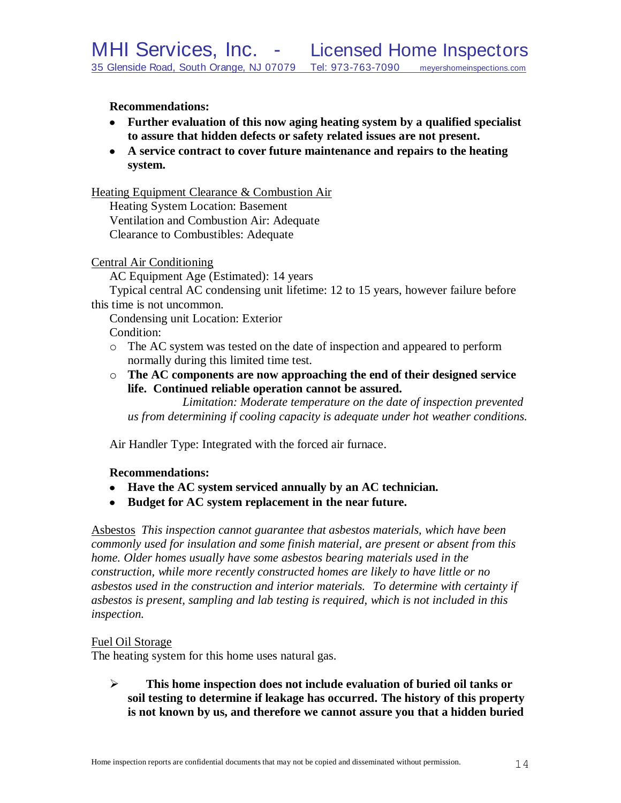# **Recommendations:**

- **Further evaluation of this now aging heating system by a qualified specialist to assure that hidden defects or safety related issues are not present.**
- **A service contract to cover future maintenance and repairs to the heating system.**

# Heating Equipment Clearance & Combustion Air

Heating System Location: Basement Ventilation and Combustion Air: Adequate Clearance to Combustibles: Adequate

# Central Air Conditioning

AC Equipment Age (Estimated): 14 years

Typical central AC condensing unit lifetime: 12 to 15 years, however failure before this time is not uncommon.

Condensing unit Location: Exterior Condition:

- o The AC system was tested on the date of inspection and appeared to perform normally during this limited time test.
- o **The AC components are now approaching the end of their designed service life. Continued reliable operation cannot be assured.**

*Limitation: Moderate temperature on the date of inspection prevented us from determining if cooling capacity is adequate under hot weather conditions.*

Air Handler Type: Integrated with the forced air furnace.

# **Recommendations:**

- **Have the AC system serviced annually by an AC technician.**
- **Budget for AC system replacement in the near future.**

Asbestos *This inspection cannot guarantee that asbestos materials, which have been commonly used for insulation and some finish material, are present or absent from this home. Older homes usually have some asbestos bearing materials used in the construction, while more recently constructed homes are likely to have little or no asbestos used in the construction and interior materials. To determine with certainty if asbestos is present, sampling and lab testing is required, which is not included in this inspection.* 

# Fuel Oil Storage

The heating system for this home uses natural gas.

 **This home inspection does not include evaluation of buried oil tanks or soil testing to determine if leakage has occurred. The history of this property is not known by us, and therefore we cannot assure you that a hidden buried**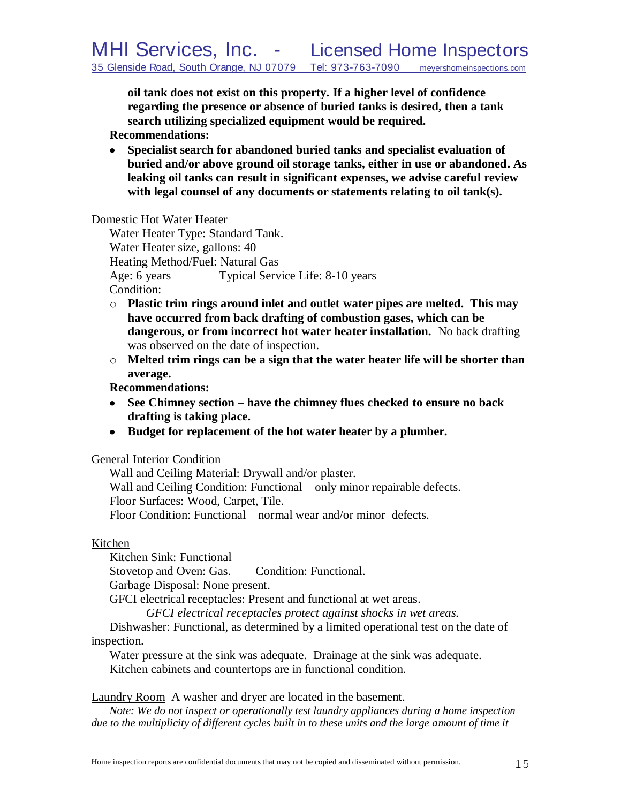**oil tank does not exist on this property. If a higher level of confidence regarding the presence or absence of buried tanks is desired, then a tank search utilizing specialized equipment would be required.**

**Recommendations:**

**Specialist search for abandoned buried tanks and specialist evaluation of buried and/or above ground oil storage tanks, either in use or abandoned. As leaking oil tanks can result in significant expenses, we advise careful review with legal counsel of any documents or statements relating to oil tank(s).** 

Domestic Hot Water Heater

Water Heater Type: Standard Tank. Water Heater size, gallons: 40 Heating Method/Fuel: Natural Gas Age: 6 years Typical Service Life: 8-10 years Condition:

- o **Plastic trim rings around inlet and outlet water pipes are melted. This may have occurred from back drafting of combustion gases, which can be dangerous, or from incorrect hot water heater installation.** No back drafting was observed on the date of inspection.
- o **Melted trim rings can be a sign that the water heater life will be shorter than average.**

**Recommendations:**

- **See Chimney section – have the chimney flues checked to ensure no back drafting is taking place.**
- **Budget for replacement of the hot water heater by a plumber.**

# General Interior Condition

Wall and Ceiling Material: Drywall and/or plaster. Wall and Ceiling Condition: Functional – only minor repairable defects. Floor Surfaces: Wood, Carpet, Tile. Floor Condition: Functional – normal wear and/or minor defects.

# Kitchen

Kitchen Sink: Functional Stovetop and Oven: Gas. Condition: Functional. Garbage Disposal: None present.

GFCI electrical receptacles: Present and functional at wet areas.

*GFCI electrical receptacles protect against shocks in wet areas.*

Dishwasher: Functional, as determined by a limited operational test on the date of inspection.

Water pressure at the sink was adequate. Drainage at the sink was adequate. Kitchen cabinets and countertops are in functional condition.

Laundry Room A washer and dryer are located in the basement.

*Note: We do not inspect or operationally test laundry appliances during a home inspection due to the multiplicity of different cycles built in to these units and the large amount of time it*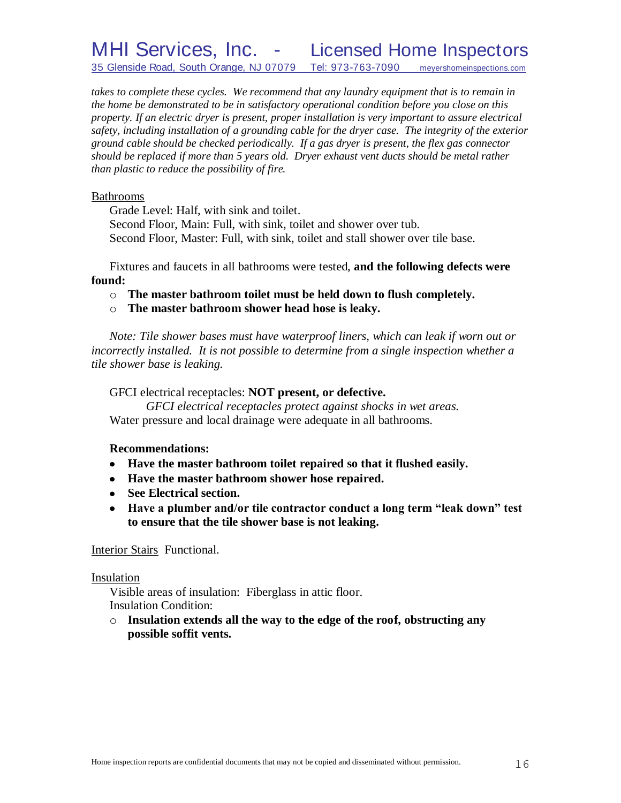*takes to complete these cycles. We recommend that any laundry equipment that is to remain in the home be demonstrated to be in satisfactory operational condition before you close on this property. If an electric dryer is present, proper installation is very important to assure electrical safety, including installation of a grounding cable for the dryer case. The integrity of the exterior ground cable should be checked periodically. If a gas dryer is present, the flex gas connector should be replaced if more than 5 years old. Dryer exhaust vent ducts should be metal rather than plastic to reduce the possibility of fire.*

#### Bathrooms

Grade Level: Half, with sink and toilet.

Second Floor, Main: Full, with sink, toilet and shower over tub. Second Floor, Master: Full, with sink, toilet and stall shower over tile base.

Fixtures and faucets in all bathrooms were tested, **and the following defects were found:**

o **The master bathroom toilet must be held down to flush completely.**

o **The master bathroom shower head hose is leaky.**

*Note: Tile shower bases must have waterproof liners, which can leak if worn out or incorrectly installed. It is not possible to determine from a single inspection whether a tile shower base is leaking.*

# GFCI electrical receptacles: **NOT present, or defective.**

*GFCI electrical receptacles protect against shocks in wet areas.* Water pressure and local drainage were adequate in all bathrooms.

# **Recommendations:**

- **Have the master bathroom toilet repaired so that it flushed easily.**
- **Have the master bathroom shower hose repaired.**
- **See Electrical section.**
- **Have a plumber and/or tile contractor conduct a long term "leak down" test to ensure that the tile shower base is not leaking.**

#### Interior Stairs Functional.

#### Insulation

Visible areas of insulation: Fiberglass in attic floor. Insulation Condition:

o **Insulation extends all the way to the edge of the roof, obstructing any possible soffit vents.**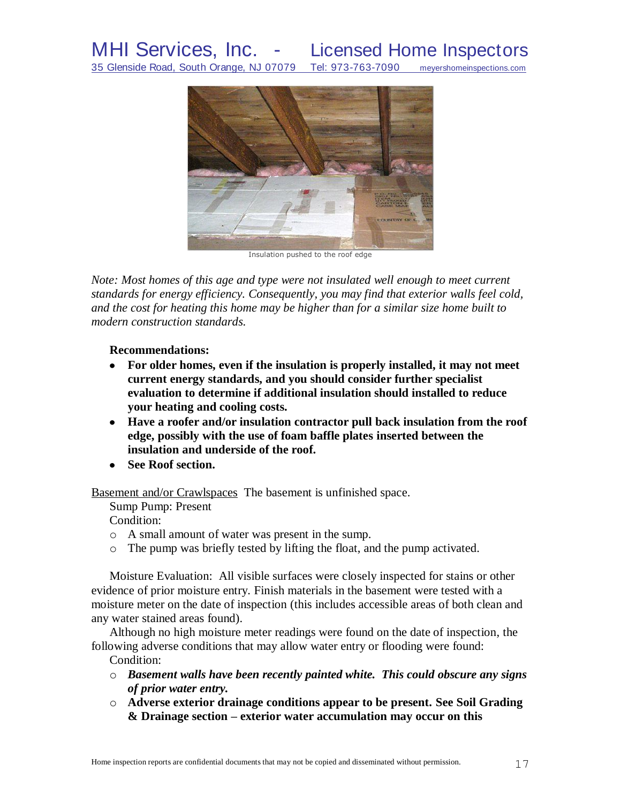

Insulation pushed to the roof edge

*Note: Most homes of this age and type were not insulated well enough to meet current standards for energy efficiency. Consequently, you may find that exterior walls feel cold, and the cost for heating this home may be higher than for a similar size home built to modern construction standards.*

**Recommendations:**

- **For older homes, even if the insulation is properly installed, it may not meet current energy standards, and you should consider further specialist evaluation to determine if additional insulation should installed to reduce your heating and cooling costs.**
- **Have a roofer and/or insulation contractor pull back insulation from the roof edge, possibly with the use of foam baffle plates inserted between the insulation and underside of the roof.**
- **See Roof section.**

Basement and/or Crawlspaces The basement is unfinished space.

Sump Pump: Present

Condition:

- o A small amount of water was present in the sump.
- o The pump was briefly tested by lifting the float, and the pump activated.

Moisture Evaluation: All visible surfaces were closely inspected for stains or other evidence of prior moisture entry. Finish materials in the basement were tested with a moisture meter on the date of inspection (this includes accessible areas of both clean and any water stained areas found).

Although no high moisture meter readings were found on the date of inspection, the following adverse conditions that may allow water entry or flooding were found:

Condition:

- o *Basement walls have been recently painted white. This could obscure any signs of prior water entry.*
- o **Adverse exterior drainage conditions appear to be present. See Soil Grading & Drainage section – exterior water accumulation may occur on this**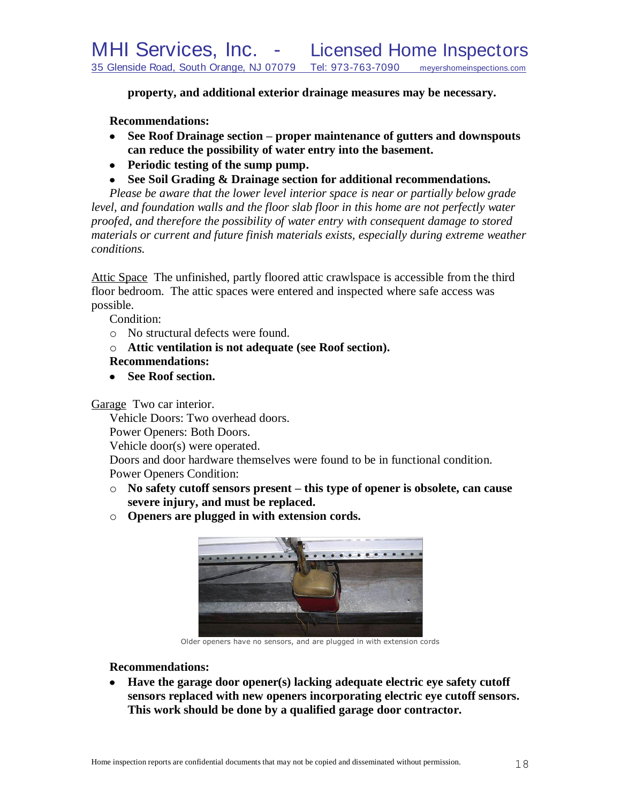**property, and additional exterior drainage measures may be necessary.**

**Recommendations:**

- **See Roof Drainage section – proper maintenance of gutters and downspouts can reduce the possibility of water entry into the basement.**
- **Periodic testing of the sump pump.**
- **See Soil Grading & Drainage section for additional recommendations.**

*Please be aware that the lower level interior space is near or partially below grade level, and foundation walls and the floor slab floor in this home are not perfectly water proofed, and therefore the possibility of water entry with consequent damage to stored materials or current and future finish materials exists, especially during extreme weather conditions.*

Attic Space The unfinished, partly floored attic crawlspace is accessible from the third floor bedroom. The attic spaces were entered and inspected where safe access was possible.

Condition:

- o No structural defects were found.
- o **Attic ventilation is not adequate (see Roof section).**

# **Recommendations:**

**See Roof section.**

Garage Two car interior.

Vehicle Doors: Two overhead doors.

Power Openers: Both Doors.

Vehicle door(s) were operated.

Doors and door hardware themselves were found to be in functional condition.

Power Openers Condition:

- o **No safety cutoff sensors present – this type of opener is obsolete, can cause severe injury, and must be replaced.**
- o **Openers are plugged in with extension cords.**



Older openers have no sensors, and are plugged in with extension cords

# **Recommendations:**

**Have the garage door opener(s) lacking adequate electric eye safety cutoff sensors replaced with new openers incorporating electric eye cutoff sensors. This work should be done by a qualified garage door contractor.**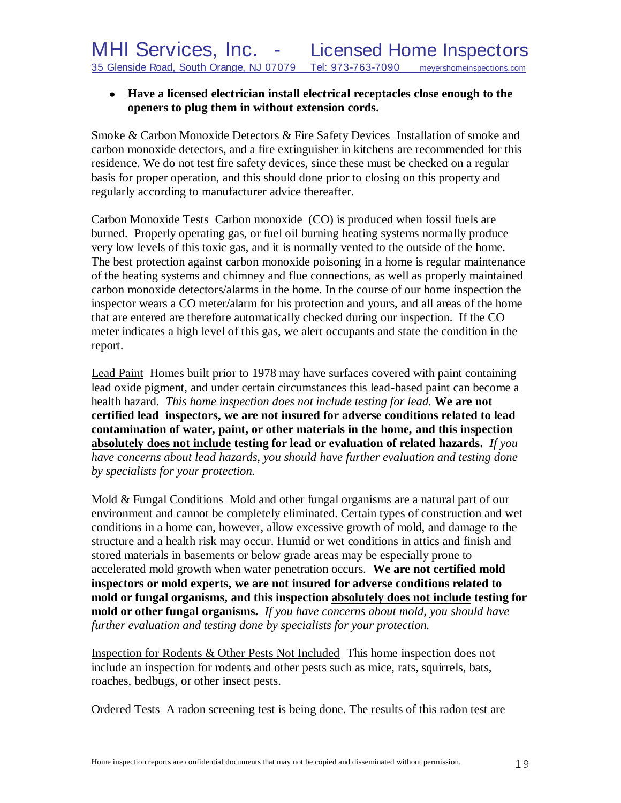# **Have a licensed electrician install electrical receptacles close enough to the openers to plug them in without extension cords.**

Smoke & Carbon Monoxide Detectors & Fire Safety Devices Installation of smoke and carbon monoxide detectors, and a fire extinguisher in kitchens are recommended for this residence. We do not test fire safety devices, since these must be checked on a regular basis for proper operation, and this should done prior to closing on this property and regularly according to manufacturer advice thereafter.

Carbon Monoxide Tests Carbon monoxide (CO) is produced when fossil fuels are burned. Properly operating gas, or fuel oil burning heating systems normally produce very low levels of this toxic gas, and it is normally vented to the outside of the home. The best protection against carbon monoxide poisoning in a home is regular maintenance of the heating systems and chimney and flue connections, as well as properly maintained carbon monoxide detectors/alarms in the home. In the course of our home inspection the inspector wears a CO meter/alarm for his protection and yours, and all areas of the home that are entered are therefore automatically checked during our inspection. If the CO meter indicates a high level of this gas, we alert occupants and state the condition in the report.

Lead Paint Homes built prior to 1978 may have surfaces covered with paint containing lead oxide pigment, and under certain circumstances this lead-based paint can become a health hazard. *This home inspection does not include testing for lead.* **We are not certified lead inspectors, we are not insured for adverse conditions related to lead contamination of water, paint, or other materials in the home, and this inspection absolutely does not include testing for lead or evaluation of related hazards.** *If you have concerns about lead hazards, you should have further evaluation and testing done by specialists for your protection.*

Mold & Fungal Conditions Mold and other fungal organisms are a natural part of our environment and cannot be completely eliminated. Certain types of construction and wet conditions in a home can, however, allow excessive growth of mold, and damage to the structure and a health risk may occur. Humid or wet conditions in attics and finish and stored materials in basements or below grade areas may be especially prone to accelerated mold growth when water penetration occurs. **We are not certified mold inspectors or mold experts, we are not insured for adverse conditions related to mold or fungal organisms, and this inspection absolutely does not include testing for mold or other fungal organisms.** *If you have concerns about mold, you should have further evaluation and testing done by specialists for your protection.*

Inspection for Rodents & Other Pests Not Included This home inspection does not include an inspection for rodents and other pests such as mice, rats, squirrels, bats, roaches, bedbugs, or other insect pests.

Ordered Tests A radon screening test is being done. The results of this radon test are